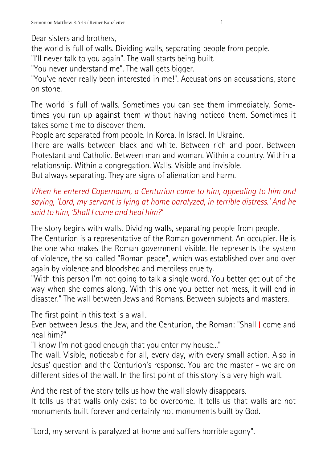Dear sisters and brothers,

the world is full of walls. Dividing walls, separating people from people.

"I'll never talk to you again". The wall starts being built.

"You never understand me". The wall gets bigger.

"You've never really been interested in me!". Accusations on accusations, stone on stone.

The world is full of walls. Sometimes you can see them immediately. Sometimes you run up against them without having noticed them. Sometimes it takes some time to discover them.

People are separated from people. In Korea. In Israel. In Ukraine.

There are walls between black and white. Between rich and poor. Between Protestant and Catholic. Between man and woman. Within a country. Within a relationship. Within a congregation. Walls. Visible and invisible.

But always separating. They are signs of alienation and harm.

## *When he entered Capernaum, a Centurion came to him, appealing to him and saying, 'Lord, my servant is lying at home paralyzed, in terrible distress.' And he said to him, 'Shall I come and heal him?'*

The story begins with walls. Dividing walls, separating people from people.

The Centurion is a representative of the Roman government. An occupier. He is the one who makes the Roman government visible. He represents the system of violence, the so-called "Roman peace", which was established over and over again by violence and bloodshed and merciless cruelty.

"With this person I'm not going to talk a single word. You better get out of the way when she comes along. With this one you better not mess, it will end in disaster." The wall between Jews and Romans. Between subjects and masters.

The first point in this text is a wall.

Even between Jesus, the Jew, and the Centurion, the Roman: "Shall I come and heal him?"

"I know I'm not good enough that you enter my house..."

The wall. Visible, noticeable for all, every day, with every small action. Also in Jesus' question and the Centurion's response. You are the master - we are on different sides of the wall. In the first point of this story is a very high wall.

And the rest of the story tells us how the wall slowly disappears.

It tells us that walls only exist to be overcome. It tells us that walls are not monuments built forever and certainly not monuments built by God.

"Lord, my servant is paralyzed at home and suffers horrible agony".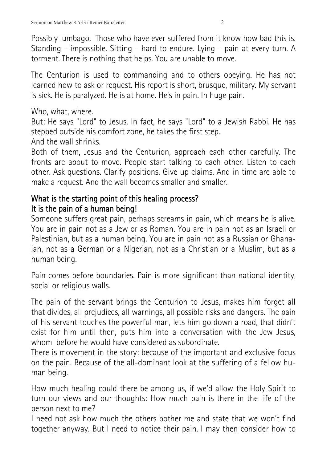Possibly lumbago. Those who have ever suffered from it know how bad this is. Standing - impossible. Sitting - hard to endure. Lying - pain at every turn. A torment. There is nothing that helps. You are unable to move.

The Centurion is used to commanding and to others obeying. He has not learned how to ask or request. His report is short, brusque, military. My servant is sick. He is paralyzed. He is at home. He's in pain. In huge pain.

Who, what, where.

But: He says "Lord" to Jesus. In fact, he says "Lord" to a Jewish Rabbi. He has stepped outside his comfort zone, he takes the first step.

And the wall shrinks.

Both of them, Jesus and the Centurion, approach each other carefully. The fronts are about to move. People start talking to each other. Listen to each other. Ask questions. Clarify positions. Give up claims. And in time are able to make a request. And the wall becomes smaller and smaller.

## What is the starting point of this healing process? It is the pain of a human being!

Someone suffers great pain, perhaps screams in pain, which means he is alive. You are in pain not as a Jew or as Roman. You are in pain not as an Israeli or Palestinian, but as a human being. You are in pain not as a Russian or Ghanaian, not as a German or a Nigerian, not as a Christian or a Muslim, but as a human being.

Pain comes before boundaries. Pain is more significant than national identity, social or religious walls.

The pain of the servant brings the Centurion to Jesus, makes him forget all that divides, all prejudices, all warnings, all possible risks and dangers. The pain of his servant touches the powerful man, lets him go down a road, that didn't exist for him until then, puts him into a conversation with the Jew Jesus, whom before he would have considered as subordinate.

There is movement in the story: because of the important and exclusive focus on the pain. Because of the all-dominant look at the suffering of a fellow human being.

How much healing could there be among us, if we'd allow the Holy Spirit to turn our views and our thoughts: How much pain is there in the life of the person next to me?

I need not ask how much the others bother me and state that we won't find together anyway. But I need to notice their pain. I may then consider how to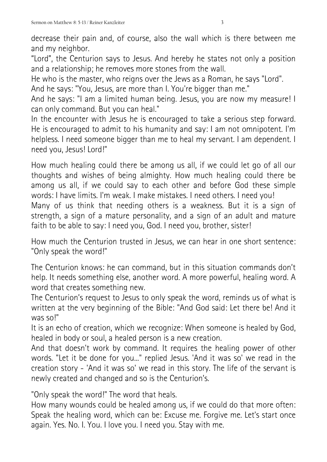decrease their pain and, of course, also the wall which is there between me and my neighbor.

"Lord", the Centurion says to Jesus. And hereby he states not only a position and a relationship; he removes more stones from the wall.

He who is the master, who reigns over the Jews as a Roman, he says "Lord".

And he says: "You, Jesus, are more than I. You're bigger than me."

And he says: "I am a limited human being. Jesus, you are now my measure! I can only command. But you can heal."

In the encounter with Jesus he is encouraged to take a serious step forward. He is encouraged to admit to his humanity and say: I am not omnipotent. I'm helpless. I need someone bigger than me to heal my servant. I am dependent. I need you, Jesus! Lord!"

How much healing could there be among us all, if we could let go of all our thoughts and wishes of being almighty. How much healing could there be among us all, if we could say to each other and before God these simple words: I have limits. I'm weak. I make mistakes. I need others. I need you! Many of us think that needing others is a weakness. But it is a sign of strength, a sign of a mature personality, and a sign of an adult and mature faith to be able to say: I need you, God. I need you, brother, sister!

How much the Centurion trusted in Jesus, we can hear in one short sentence: "Only speak the word!"

The Centurion knows: he can command, but in this situation commands don't help. It needs something else, another word. A more powerful, healing word. A word that creates something new.

The Centurion's request to Jesus to only speak the word, reminds us of what is written at the very beginning of the Bible: "And God said: Let there be! And it was so!"

It is an echo of creation, which we recognize: When someone is healed by God, healed in body or soul, a healed person is a new creation.

And that doesn't work by command. It requires the healing power of other words. "Let it be done for you..." replied Jesus. 'And it was so' we read in the creation story - 'And it was so' we read in this story. The life of the servant is newly created and changed and so is the Centurion's.

"Only speak the word!" The word that heals.

How many wounds could be healed among us, if we could do that more often: Speak the healing word, which can be: Excuse me. Forgive me. Let's start once again. Yes. No. I. You. I love you. I need you. Stay with me.